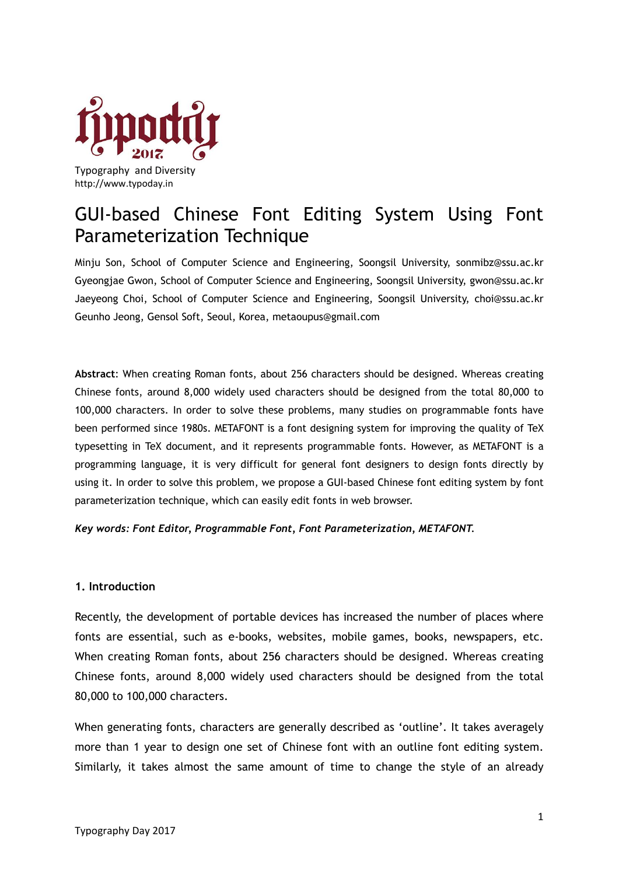

Typography and Diversity http://www.typoday.in

# GUI-based Chinese Font Editing System Using Font Parameterization Technique

Minju Son, School of Computer Science and Engineering, Soongsil University, [sonmibz@ssu.ac.kr](mailto:sonmibz@ssu.ac.kr) Gyeongjae Gwon, School of Computer Science and Engineering, Soongsil University, [gwon@ssu.ac.kr](mailto:gwon@ssu.ac.kr) Jaeyeong Choi, School of Computer Science and Engineering, Soongsil University, [choi@ssu.ac.kr](mailto:choi@ssu.ac.kr) Geunho Jeong, Gensol Soft, Seoul, Korea, metaoupus@gmail.com

**Abstract**: When creating Roman fonts, about 256 characters should be designed. Whereas creating Chinese fonts, around 8,000 widely used characters should be designed from the total 80,000 to 100,000 characters. In order to solve these problems, many studies on programmable fonts have been performed since 1980s. METAFONT is a font designing system for improving the quality of TeX typesetting in TeX document, and it represents programmable fonts. However, as METAFONT is a programming language, it is very difficult for general font designers to design fonts directly by using it. In order to solve this problem, we propose a GUI-based Chinese font editing system by font parameterization technique, which can easily edit fonts in web browser.

*Key words: Font Editor, Programmable Font, Font Parameterization, METAFONT.*

# **1. Introduction**

Recently, the development of portable devices has increased the number of places where fonts are essential, such as e-books, websites, mobile games, books, newspapers, etc. When creating Roman fonts, about 256 characters should be designed. Whereas creating Chinese fonts, around 8,000 widely used characters should be designed from the total 80,000 to 100,000 characters.

When generating fonts, characters are generally described as 'outline'. It takes averagely more than 1 year to design one set of Chinese font with an outline font editing system. Similarly, it takes almost the same amount of time to change the style of an already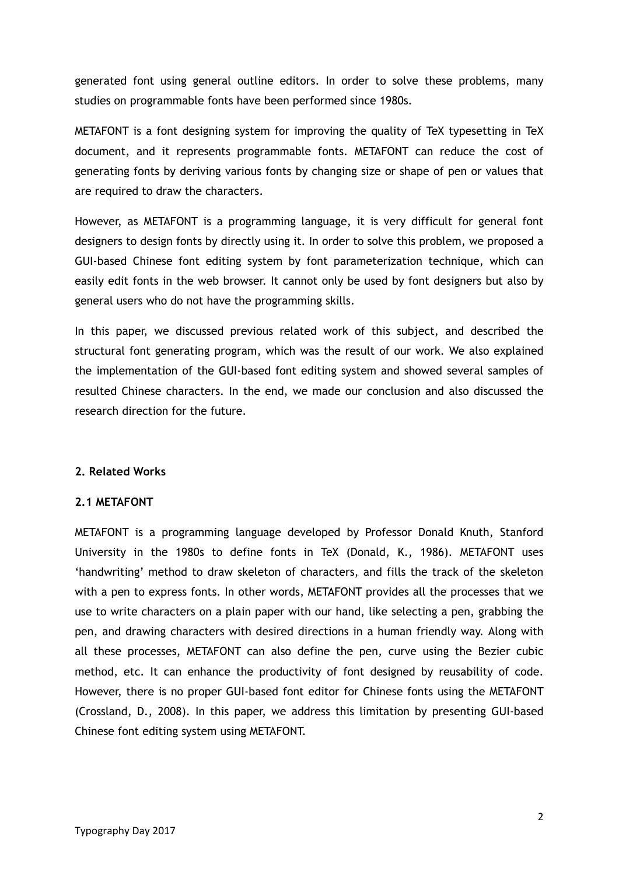generated font using general outline editors. In order to solve these problems, many studies on programmable fonts have been performed since 1980s.

METAFONT is a font designing system for improving the quality of TeX typesetting in TeX document, and it represents programmable fonts. METAFONT can reduce the cost of generating fonts by deriving various fonts by changing size or shape of pen or values that are required to draw the characters.

However, as METAFONT is a programming language, it is very difficult for general font designers to design fonts by directly using it. In order to solve this problem, we proposed a GUI-based Chinese font editing system by font parameterization technique, which can easily edit fonts in the web browser. It cannot only be used by font designers but also by general users who do not have the programming skills.

In this paper, we discussed previous related work of this subject, and described the structural font generating program, which was the result of our work. We also explained the implementation of the GUI-based font editing system and showed several samples of resulted Chinese characters. In the end, we made our conclusion and also discussed the research direction for the future.

## **2. Related Works**

## **2.1 METAFONT**

METAFONT is a programming language developed by Professor Donald Knuth, Stanford University in the 1980s to define fonts in TeX (Donald, K., 1986). METAFONT uses 'handwriting' method to draw skeleton of characters, and fills the track of the skeleton with a pen to express fonts. In other words, METAFONT provides all the processes that we use to write characters on a plain paper with our hand, like selecting a pen, grabbing the pen, and drawing characters with desired directions in a human friendly way. Along with all these processes, METAFONT can also define the pen, curve using the Bezier cubic method, etc. It can enhance the productivity of font designed by reusability of code. However, there is no proper GUI-based font editor for Chinese fonts using the METAFONT (Crossland, D., 2008). In this paper, we address this limitation by presenting GUI-based Chinese font editing system using METAFONT.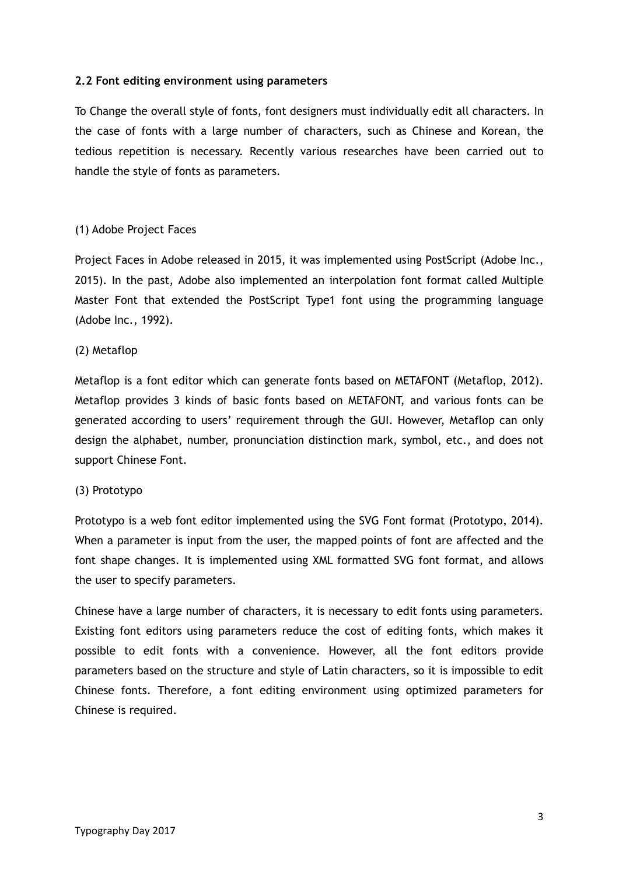## **2.2 Font editing environment using parameters**

To Change the overall style of fonts, font designers must individually edit all characters. In the case of fonts with a large number of characters, such as Chinese and Korean, the tedious repetition is necessary. Recently various researches have been carried out to handle the style of fonts as parameters.

# (1) Adobe Project Faces

Project Faces in Adobe released in 2015, it was implemented using PostScript (Adobe Inc., 2015). In the past, Adobe also implemented an interpolation font format called Multiple Master Font that extended the PostScript Type1 font using the programming language (Adobe Inc., 1992).

## (2) Metaflop

Metaflop is a font editor which can generate fonts based on METAFONT (Metaflop, 2012). Metaflop provides 3 kinds of basic fonts based on METAFONT, and various fonts can be generated according to users' requirement through the GUI. However, Metaflop can only design the alphabet, number, pronunciation distinction mark, symbol, etc., and does not support Chinese Font.

## (3) Prototypo

Prototypo is a web font editor implemented using the SVG Font format (Prototypo, 2014). When a parameter is input from the user, the mapped points of font are affected and the font shape changes. It is implemented using XML formatted SVG font format, and allows the user to specify parameters.

Chinese have a large number of characters, it is necessary to edit fonts using parameters. Existing font editors using parameters reduce the cost of editing fonts, which makes it possible to edit fonts with a convenience. However, all the font editors provide parameters based on the structure and style of Latin characters, so it is impossible to edit Chinese fonts. Therefore, a font editing environment using optimized parameters for Chinese is required.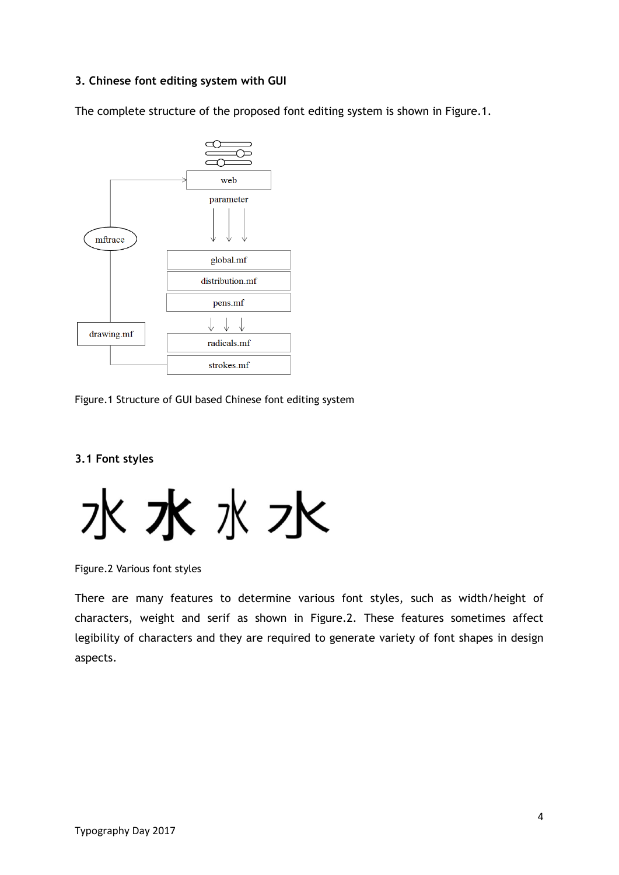# **3. Chinese font editing system with GUI**

The complete structure of the proposed font editing system is shown in Figure.1.



Figure.1 Structure of GUI based Chinese font editing system

# **3.1 Font styles**

水水水水

Figure.2 Various font styles

There are many features to determine various font styles, such as width/height of characters, weight and serif as shown in Figure.2. These features sometimes affect legibility of characters and they are required to generate variety of font shapes in design aspects.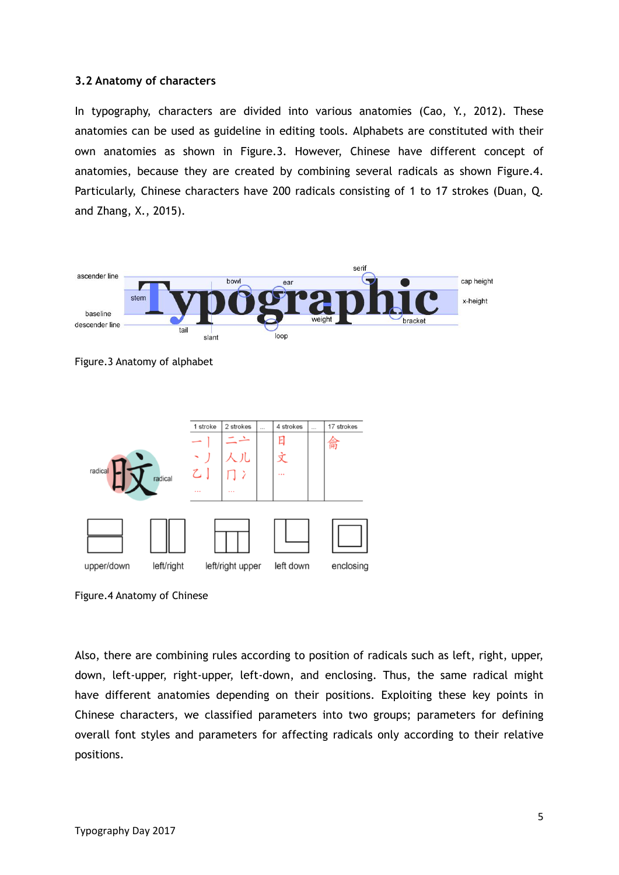#### **3.2 Anatomy of characters**

In typography, characters are divided into various anatomies (Cao, Y., 2012). These anatomies can be used as guideline in editing tools. Alphabets are constituted with their own anatomies as shown in Figure.3. However, Chinese have different concept of anatomies, because they are created by combining several radicals as shown Figure.4. Particularly, Chinese characters have 200 radicals consisting of 1 to 17 strokes (Duan, Q. and Zhang, X., 2015).



Figure.3 Anatomy of alphabet



Figure.4 Anatomy of Chinese

Also, there are combining rules according to position of radicals such as left, right, upper, down, left-upper, right-upper, left-down, and enclosing. Thus, the same radical might have different anatomies depending on their positions. Exploiting these key points in Chinese characters, we classified parameters into two groups; parameters for defining overall font styles and parameters for affecting radicals only according to their relative positions.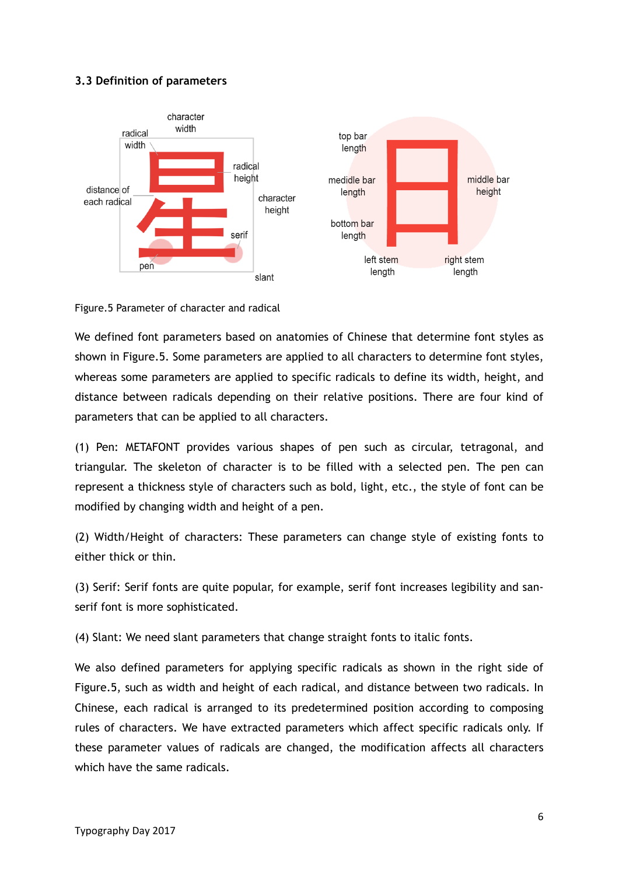# **3.3 Definition of parameters**



Figure.5 Parameter of character and radical

We defined font parameters based on anatomies of Chinese that determine font styles as shown in Figure.5. Some parameters are applied to all characters to determine font styles, whereas some parameters are applied to specific radicals to define its width, height, and distance between radicals depending on their relative positions. There are four kind of parameters that can be applied to all characters.

(1) Pen: METAFONT provides various shapes of pen such as circular, tetragonal, and triangular. The skeleton of character is to be filled with a selected pen. The pen can represent a thickness style of characters such as bold, light, etc., the style of font can be modified by changing width and height of a pen.

(2) Width/Height of characters: These parameters can change style of existing fonts to either thick or thin.

(3) Serif: Serif fonts are quite popular, for example, serif font increases legibility and sanserif font is more sophisticated.

(4) Slant: We need slant parameters that change straight fonts to italic fonts.

We also defined parameters for applying specific radicals as shown in the right side of Figure.5, such as width and height of each radical, and distance between two radicals. In Chinese, each radical is arranged to its predetermined position according to composing rules of characters. We have extracted parameters which affect specific radicals only. If these parameter values of radicals are changed, the modification affects all characters which have the same radicals.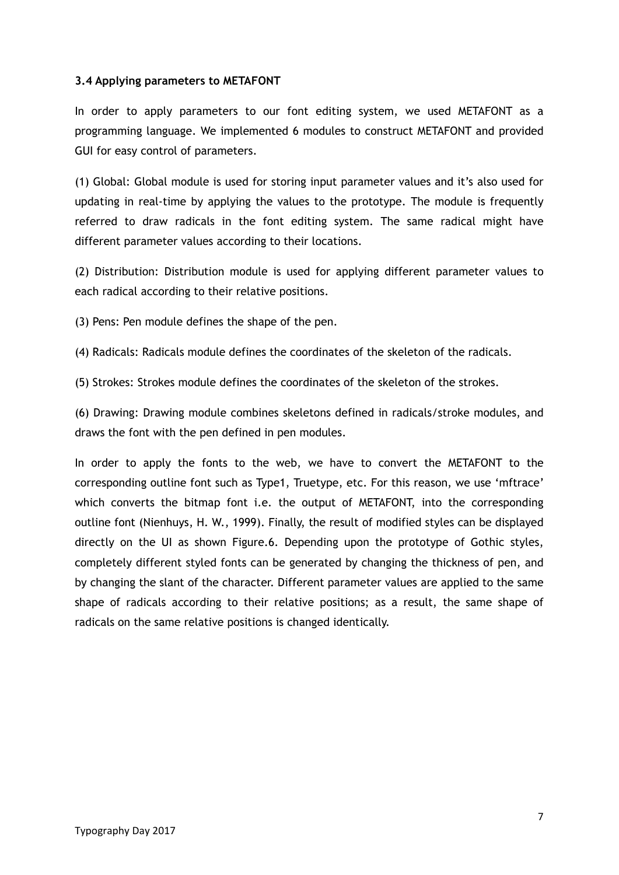# **3.4 Applying parameters to METAFONT**

In order to apply parameters to our font editing system, we used METAFONT as a programming language. We implemented 6 modules to construct METAFONT and provided GUI for easy control of parameters.

(1) Global: Global module is used for storing input parameter values and it's also used for updating in real-time by applying the values to the prototype. The module is frequently referred to draw radicals in the font editing system. The same radical might have different parameter values according to their locations.

(2) Distribution: Distribution module is used for applying different parameter values to each radical according to their relative positions.

(3) Pens: Pen module defines the shape of the pen.

(4) Radicals: Radicals module defines the coordinates of the skeleton of the radicals.

(5) Strokes: Strokes module defines the coordinates of the skeleton of the strokes.

(6) Drawing: Drawing module combines skeletons defined in radicals/stroke modules, and draws the font with the pen defined in pen modules.

In order to apply the fonts to the web, we have to convert the METAFONT to the corresponding outline font such as Type1, Truetype, etc. For this reason, we use 'mftrace' which converts the bitmap font i.e. the output of METAFONT, into the corresponding outline font (Nienhuys, H. W., 1999). Finally, the result of modified styles can be displayed directly on the UI as shown Figure.6. Depending upon the prototype of Gothic styles, completely different styled fonts can be generated by changing the thickness of pen, and by changing the slant of the character. Different parameter values are applied to the same shape of radicals according to their relative positions; as a result, the same shape of radicals on the same relative positions is changed identically.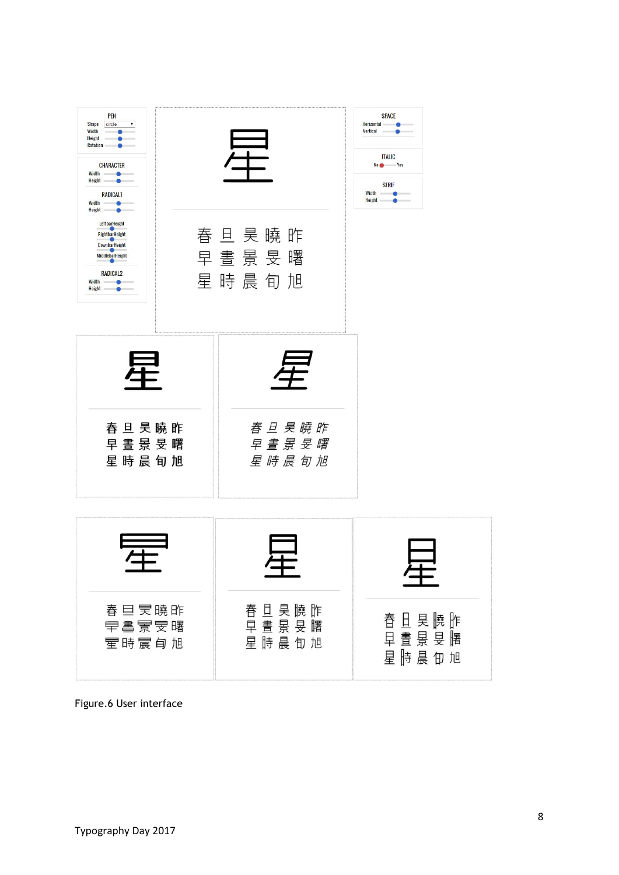

Figure.6 User interface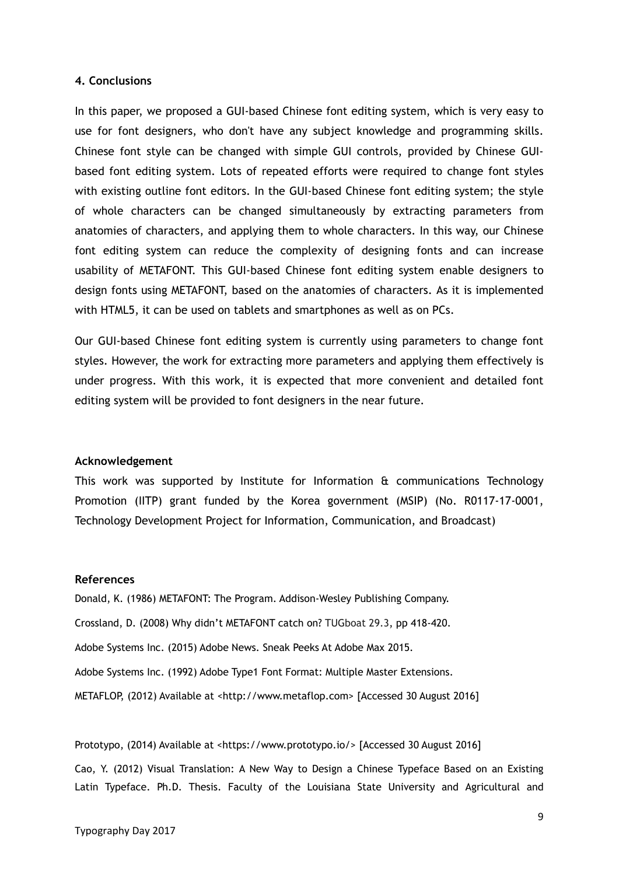#### **4. Conclusions**

In this paper, we proposed a GUI-based Chinese font editing system, which is very easy to use for font designers, who don't have any subject knowledge and programming skills. Chinese font style can be changed with simple GUI controls, provided by Chinese GUIbased font editing system. Lots of repeated efforts were required to change font styles with existing outline font editors. In the GUI-based Chinese font editing system; the style of whole characters can be changed simultaneously by extracting parameters from anatomies of characters, and applying them to whole characters. In this way, our Chinese font editing system can reduce the complexity of designing fonts and can increase usability of METAFONT. This GUI-based Chinese font editing system enable designers to design fonts using METAFONT, based on the anatomies of characters. As it is implemented with HTML5, it can be used on tablets and smartphones as well as on PCs.

Our GUI-based Chinese font editing system is currently using parameters to change font styles. However, the work for extracting more parameters and applying them effectively is under progress. With this work, it is expected that more convenient and detailed font editing system will be provided to font designers in the near future.

#### **Acknowledgement**

This work was supported by Institute for Information & communications Technology Promotion (IITP) grant funded by the Korea government (MSIP) (No. R0117-17-0001, Technology Development Project for Information, Communication, and Broadcast)

#### **References**

Donald, K. (1986) METAFONT: The Program. Addison-Wesley Publishing Company. Crossland, D. (2008) Why didn't METAFONT catch on? TUGboat 29.3, pp 418-420. Adobe Systems Inc. (2015) Adobe News. Sneak Peeks At Adobe Max 2015. Adobe Systems Inc. (1992) Adobe Type1 Font Format: Multiple Master Extensions. METAFLOP, (2012) Available at <http://www.metaflop.com> [Accessed 30 August 2016]

Prototypo, (2014) Available at <https://www.prototypo.io/> [Accessed 30 August 2016]

Cao, Y. (2012) Visual Translation: A New Way to Design a Chinese Typeface Based on an Existing Latin Typeface. Ph.D. Thesis. Faculty of the Louisiana State University and Agricultural and